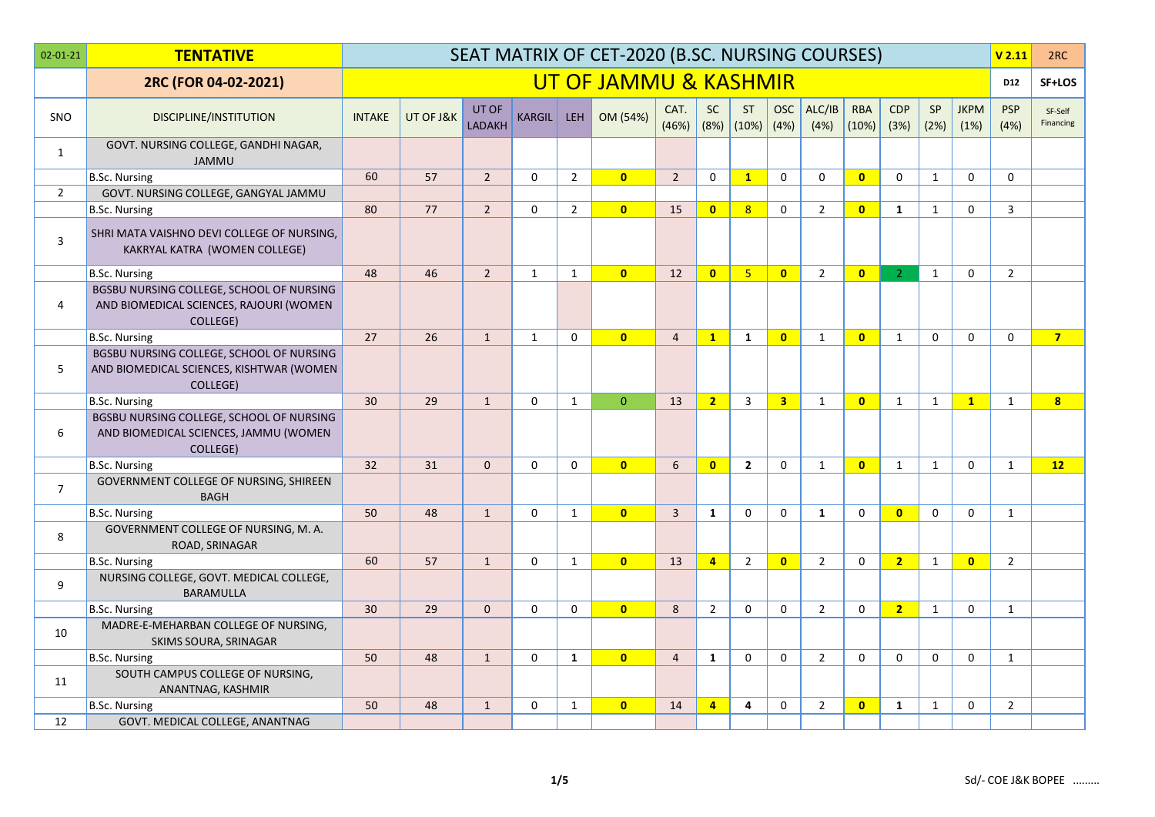| $02 - 01 - 21$ | <b>TENTATIVE</b>                                                                                 |               |           |                 |               |                | SEAT MATRIX OF CET-2020 (B.SC. NURSING COURSES) |                |                   |                    |                |                |                     |                    |              |                     | V <sub>2.11</sub>  | 2RC                  |
|----------------|--------------------------------------------------------------------------------------------------|---------------|-----------|-----------------|---------------|----------------|-------------------------------------------------|----------------|-------------------|--------------------|----------------|----------------|---------------------|--------------------|--------------|---------------------|--------------------|----------------------|
|                | 2RC (FOR 04-02-2021)                                                                             |               |           |                 |               |                | UT OF JAMMU & KASHMIR                           |                |                   |                    |                |                |                     |                    |              |                     | D12                | SF+LOS               |
| <b>SNO</b>     | DISCIPLINE/INSTITUTION                                                                           | <b>INTAKE</b> | UT OF J&K | UT OF<br>LADAKH | <b>KARGIL</b> | <b>LEH</b>     | OM (54%)                                        | CAT.<br>(46%)  | <b>SC</b><br>(8%) | <b>ST</b><br>(10%) | OSC<br>(4%)    | ALC/IB<br>(4%) | <b>RBA</b><br>(10%) | <b>CDP</b><br>(3%) | SP<br>(2%)   | <b>JKPM</b><br>(1%) | <b>PSP</b><br>(4%) | SF-Self<br>Financing |
| 1              | GOVT. NURSING COLLEGE, GANDHI NAGAR,<br><b>JAMMU</b>                                             |               |           |                 |               |                |                                                 |                |                   |                    |                |                |                     |                    |              |                     |                    |                      |
|                | <b>B.Sc. Nursing</b>                                                                             | 60            | 57        | $2^{\circ}$     | $\mathbf 0$   | $\overline{2}$ | $\overline{0}$                                  | $\overline{2}$ | $\mathsf{O}$      | $\mathbf{1}$       | 0              | $\mathbf 0$    | $\overline{0}$      | $\Omega$           | $\mathbf{1}$ | $\mathbf 0$         | $\mathbf 0$        |                      |
| $\overline{2}$ | GOVT. NURSING COLLEGE, GANGYAL JAMMU                                                             |               |           |                 |               |                |                                                 |                |                   |                    |                |                |                     |                    |              |                     |                    |                      |
|                | <b>B.Sc. Nursing</b>                                                                             | 80            | 77        | $\overline{2}$  | $\mathbf 0$   | $\overline{2}$ | $\overline{0}$                                  | 15             | $\mathbf{0}$      | 8                  | 0              | $\overline{2}$ | $\mathbf{0}$        | 1                  | $\mathbf{1}$ | $\mathbf 0$         | 3                  |                      |
| 3              | SHRI MATA VAISHNO DEVI COLLEGE OF NURSING,<br>KAKRYAL KATRA (WOMEN COLLEGE)                      |               |           |                 |               |                |                                                 |                |                   |                    |                |                |                     |                    |              |                     |                    |                      |
|                | <b>B.Sc. Nursing</b>                                                                             | 48            | 46        | $\overline{2}$  | $\mathbf{1}$  | $\mathbf{1}$   | $\mathbf{0}$                                    | 12             | $\mathbf{0}$      | 5 <sup>1</sup>     | $\mathbf{0}$   | $\overline{2}$ | $\mathbf{0}$        | $\mathcal{L}$      | $\mathbf{1}$ | $\Omega$            | $\overline{2}$     |                      |
| 4              | BGSBU NURSING COLLEGE, SCHOOL OF NURSING<br>AND BIOMEDICAL SCIENCES, RAJOURI (WOMEN<br>COLLEGE)  |               |           |                 |               |                |                                                 |                |                   |                    |                |                |                     |                    |              |                     |                    |                      |
|                | <b>B.Sc. Nursing</b>                                                                             | 27            | 26        | $\mathbf{1}$    | $\mathbf{1}$  | $\mathbf 0$    | $\mathbf{0}$                                    | $\overline{4}$ | $\mathbf{1}$      | $\mathbf{1}$       | $\mathbf{0}$   | $\mathbf{1}$   | $\mathbf{0}$        | $\mathbf{1}$       | $\Omega$     | $\Omega$            | $\mathbf{0}$       | $\overline{7}$       |
| 5              | BGSBU NURSING COLLEGE, SCHOOL OF NURSING<br>AND BIOMEDICAL SCIENCES, KISHTWAR (WOMEN<br>COLLEGE) |               |           |                 |               |                |                                                 |                |                   |                    |                |                |                     |                    |              |                     |                    |                      |
|                | <b>B.Sc. Nursing</b>                                                                             | 30            | 29        | $\mathbf{1}$    | $\Omega$      | $\mathbf{1}$   | $\Omega$                                        | 13             | 2 <sup>2</sup>    | $\overline{3}$     | 3 <sup>7</sup> | $\mathbf{1}$   | $\mathbf{0}$        | 1                  | 1            | $\mathbf{1}$        | 1                  | 8 <sup>2</sup>       |
| 6              | BGSBU NURSING COLLEGE, SCHOOL OF NURSING<br>AND BIOMEDICAL SCIENCES, JAMMU (WOMEN<br>COLLEGE)    |               |           |                 |               |                |                                                 |                |                   |                    |                |                |                     |                    |              |                     |                    |                      |
|                | <b>B.Sc. Nursing</b>                                                                             | 32            | 31        | $\mathbf{0}$    | $\mathbf 0$   | $\mathbf 0$    | $\overline{0}$                                  | 6              | $\mathbf{0}$      | $\overline{2}$     | $\mathbf 0$    | $\mathbf{1}$   | $\mathbf{0}$        | $\mathbf{1}$       | $\mathbf{1}$ | $\mathbf 0$         | 1                  | 12                   |
| $\overline{7}$ | GOVERNMENT COLLEGE OF NURSING, SHIREEN<br><b>BAGH</b>                                            |               |           |                 |               |                |                                                 |                |                   |                    |                |                |                     |                    |              |                     |                    |                      |
|                | <b>B.Sc. Nursing</b>                                                                             | 50            | 48        | $\mathbf{1}$    | $\Omega$      | $\mathbf{1}$   | $\overline{0}$                                  | $\overline{3}$ | $\mathbf{1}$      | $\Omega$           | $\Omega$       | $\mathbf{1}$   | $\Omega$            | $\mathbf{0}$       | $\Omega$     | $\Omega$            | 1                  |                      |
| 8              | GOVERNMENT COLLEGE OF NURSING, M. A.<br>ROAD, SRINAGAR                                           |               |           |                 |               |                |                                                 |                |                   |                    |                |                |                     |                    |              |                     |                    |                      |
|                | <b>B.Sc. Nursing</b>                                                                             | 60            | 57        | $\mathbf{1}$    | $\mathbf 0$   | $\mathbf{1}$   | $\overline{0}$                                  | 13             | $\overline{4}$    | $\overline{2}$     | $\overline{0}$ | $2^{\circ}$    | $\mathbf 0$         | $\overline{2}$     | $\mathbf{1}$ | $\overline{0}$      | $\overline{2}$     |                      |
| 9              | NURSING COLLEGE, GOVT. MEDICAL COLLEGE,<br><b>BARAMULLA</b>                                      |               |           |                 |               |                |                                                 |                |                   |                    |                |                |                     |                    |              |                     |                    |                      |
|                | <b>B.Sc. Nursing</b>                                                                             | 30            | 29        | $\mathbf{0}$    | $\Omega$      | $\Omega$       | $\mathbf{0}$                                    | 8              | $\overline{2}$    | $\mathbf{0}$       | $\Omega$       | $\overline{2}$ | $\mathbf{0}$        | $2^{\circ}$        | $\mathbf{1}$ | $\Omega$            | 1                  |                      |
| 10             | MADRE-E-MEHARBAN COLLEGE OF NURSING,<br>SKIMS SOURA, SRINAGAR                                    |               |           |                 |               |                |                                                 |                |                   |                    |                |                |                     |                    |              |                     |                    |                      |
|                | <b>B.Sc. Nursing</b>                                                                             | 50            | 48        | $\mathbf{1}$    | $\Omega$      | $\mathbf{1}$   | $\overline{0}$                                  | $\overline{4}$ | $\mathbf{1}$      | $\mathbf 0$        | $\mathbf 0$    | $\overline{2}$ | $\mathbf 0$         | $\Omega$           | $\mathbf 0$  | $\mathbf 0$         | 1                  |                      |
| 11             | SOUTH CAMPUS COLLEGE OF NURSING,<br>ANANTNAG, KASHMIR                                            |               |           |                 |               |                |                                                 |                |                   |                    |                |                |                     |                    |              |                     |                    |                      |
|                | <b>B.Sc. Nursing</b>                                                                             | 50            | 48        | $\mathbf{1}$    | $\mathbf 0$   | $\mathbf{1}$   | $\mathbf{0}$                                    | 14             | $\overline{4}$    | 4                  | 0              | $\overline{2}$ | $\mathbf{0}$        | $\mathbf{1}$       | $\mathbf{1}$ | $\mathbf 0$         | $\overline{2}$     |                      |
| 12             | GOVT. MEDICAL COLLEGE, ANANTNAG                                                                  |               |           |                 |               |                |                                                 |                |                   |                    |                |                |                     |                    |              |                     |                    |                      |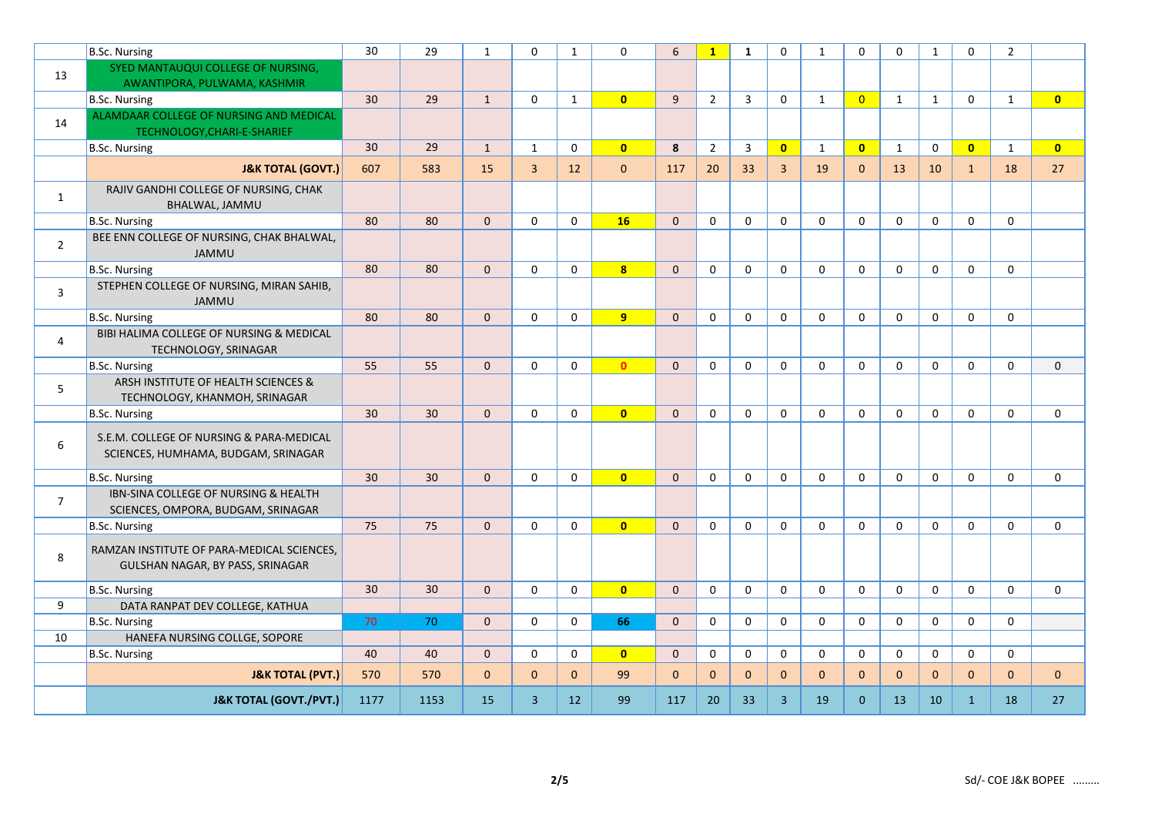|                | B.Sc. Nursing                                                                   | 30   | 29   | $\mathbf{1}$ | $\Omega$       | $\mathbf{1}$ | $\mathbf 0$    | 6           | $\mathbf{1}$   | $\mathbf{1}$   | $\Omega$       | $\mathbf{1}$   | $\mathbf{0}$   | $\Omega$     | $\mathbf{1}$ | $\mathbf 0$             | $\overline{2}$ |                         |
|----------------|---------------------------------------------------------------------------------|------|------|--------------|----------------|--------------|----------------|-------------|----------------|----------------|----------------|----------------|----------------|--------------|--------------|-------------------------|----------------|-------------------------|
| 13             | SYED MANTAUQUI COLLEGE OF NURSING,                                              |      |      |              |                |              |                |             |                |                |                |                |                |              |              |                         |                |                         |
|                | AWANTIPORA, PULWAMA, KASHMIR                                                    |      |      |              |                |              |                |             |                |                |                |                |                |              |              |                         |                |                         |
|                | <b>B.Sc. Nursing</b>                                                            | 30   | 29   | $\mathbf{1}$ | $\mathbf 0$    | $\mathbf{1}$ | $\overline{0}$ | 9           | $\overline{2}$ | $\overline{3}$ | $\mathbf 0$    | $\mathbf{1}$   | $\overline{0}$ | $\mathbf{1}$ | $\mathbf{1}$ | $\mathbf 0$             | $\mathbf{1}$   | $\overline{0}$          |
| 14             | ALAMDAAR COLLEGE OF NURSING AND MEDICAL<br>TECHNOLOGY, CHARI-E-SHARIEF          |      |      |              |                |              |                |             |                |                |                |                |                |              |              |                         |                |                         |
|                | B.Sc. Nursing                                                                   | 30   | 29   | $\mathbf{1}$ | $\mathbf{1}$   | $\mathbf 0$  | $\overline{0}$ | 8           | $\overline{2}$ | $\overline{3}$ | $\mathbf{0}$   | $\mathbf{1}$   | $\mathbf{0}$   | $\mathbf{1}$ | $\mathbf 0$  | $\overline{\mathbf{0}}$ | 1              | $\overline{\mathbf{0}}$ |
|                | <b>J&amp;K TOTAL (GOVT.)</b>                                                    | 607  | 583  | 15           | $\overline{3}$ | 12           | $\mathbf{0}$   | 117         | 20             | 33             | $\overline{3}$ | 19             | $\Omega$       | 13           | 10           | $\mathbf{1}$            | 18             | 27                      |
| $\mathbf{1}$   | RAJIV GANDHI COLLEGE OF NURSING, CHAK<br>BHALWAL, JAMMU                         |      |      |              |                |              |                |             |                |                |                |                |                |              |              |                         |                |                         |
|                | <b>B.Sc. Nursing</b>                                                            | 80   | 80   | $\mathbf{0}$ | $\mathbf 0$    | $\mathbf 0$  | 16             | $\mathbf 0$ | $\mathbf 0$    | $\mathbf 0$    | $\mathbf 0$    | 0              | $\mathbf 0$    | 0            | $\mathbf 0$  | $\mathbf 0$             | $\mathbf 0$    |                         |
| $\overline{2}$ | BEE ENN COLLEGE OF NURSING, CHAK BHALWAL,<br><b>JAMMU</b>                       |      |      |              |                |              |                |             |                |                |                |                |                |              |              |                         |                |                         |
|                | <b>B.Sc. Nursing</b>                                                            | 80   | 80   | $\mathbf{0}$ | $\mathbf 0$    | $\mathbf 0$  | 8 <sup>1</sup> | $\mathbf 0$ | $\mathbf 0$    | $\mathbf 0$    | $\mathbf 0$    | 0              | $\Omega$       | 0            | $\mathbf 0$  | $\mathbf 0$             | $\mathbf 0$    |                         |
| $\overline{3}$ | STEPHEN COLLEGE OF NURSING, MIRAN SAHIB,<br><b>JAMMU</b>                        |      |      |              |                |              |                |             |                |                |                |                |                |              |              |                         |                |                         |
|                | <b>B.Sc. Nursing</b>                                                            | 80   | 80   | $\mathsf{O}$ | $\mathbf 0$    | $\mathbf 0$  | 9 <sup>°</sup> | $\mathbf 0$ | $\mathbf 0$    | $\mathbf 0$    | $\mathbf 0$    | 0              | $\mathbf 0$    | 0            | $\mathbf 0$  | $\mathbf 0$             | $\mathbf 0$    |                         |
| $\overline{4}$ | BIBI HALIMA COLLEGE OF NURSING & MEDICAL<br><b>TECHNOLOGY, SRINAGAR</b>         |      |      |              |                |              |                |             |                |                |                |                |                |              |              |                         |                |                         |
|                | <b>B.Sc. Nursing</b>                                                            | 55   | 55   | $\mathbf{0}$ | $\mathbf 0$    | $\mathbf 0$  | $\mathbf{0}$   | $\mathbf 0$ | $\mathbf 0$    | $\mathbf 0$    | $\mathbf 0$    | $\mathbf 0$    | $\mathbf 0$    | $\mathbf 0$  | 0            | $\mathbf 0$             | $\mathbf 0$    | $\mathbf 0$             |
| 5              | ARSH INSTITUTE OF HEALTH SCIENCES &<br>TECHNOLOGY, KHANMOH, SRINAGAR            |      |      |              |                |              |                |             |                |                |                |                |                |              |              |                         |                |                         |
|                | <b>B.Sc. Nursing</b>                                                            | 30   | 30   | $\mathbf 0$  | $\mathbf 0$    | $\mathbf 0$  | $\overline{0}$ | $\mathbf 0$ | $\mathbf 0$    | $\mathbf 0$    | $\mathbf 0$    | 0              | $\Omega$       | 0            | $\mathbf 0$  | $\mathbf 0$             | $\mathbf 0$    | $\mathbf 0$             |
| 6              | S.E.M. COLLEGE OF NURSING & PARA-MEDICAL<br>SCIENCES, HUMHAMA, BUDGAM, SRINAGAR |      |      |              |                |              |                |             |                |                |                |                |                |              |              |                         |                |                         |
|                | B.Sc. Nursing                                                                   | 30   | 30   | $\mathbf{0}$ | $\Omega$       | $\mathbf 0$  | $\overline{0}$ | $\Omega$    | $\Omega$       | $\Omega$       | $\Omega$       | $\Omega$       | $\Omega$       | $\Omega$     | $\mathbf 0$  | $\Omega$                | $\Omega$       | $\Omega$                |
| $\overline{7}$ | IBN-SINA COLLEGE OF NURSING & HEALTH<br>SCIENCES, OMPORA, BUDGAM, SRINAGAR      |      |      |              |                |              |                |             |                |                |                |                |                |              |              |                         |                |                         |
|                | B.Sc. Nursing                                                                   | 75   | 75   | $\mathbf{0}$ | $\mathbf 0$    | $\mathbf 0$  | $\overline{0}$ | $\mathbf 0$ | $\mathbf 0$    | 0              | $\Omega$       | $\mathbf 0$    | $\Omega$       | 0            | $\mathbf 0$  | 0                       | $\mathbf{0}$   | 0                       |
| 8              | RAMZAN INSTITUTE OF PARA-MEDICAL SCIENCES,<br>GULSHAN NAGAR, BY PASS, SRINAGAR  |      |      |              |                |              |                |             |                |                |                |                |                |              |              |                         |                |                         |
|                | <b>B.Sc. Nursing</b>                                                            | 30   | 30   | $\mathbf 0$  | $\mathbf 0$    | $\mathbf 0$  | $\bullet$      | $\mathbf 0$ | $\mathbf 0$    | $\mathbf 0$    | $\mathbf 0$    | $\mathbf 0$    | $\mathbf 0$    | $\mathbf 0$  | $\mathbf 0$  | $\mathbf 0$             | $\mathbf 0$    | $\mathbf 0$             |
| 9              | DATA RANPAT DEV COLLEGE, KATHUA                                                 |      |      |              |                |              |                |             |                |                |                |                |                |              |              |                         |                |                         |
|                | <b>B.Sc. Nursing</b>                                                            | 70   | 70   | $\mathbf{0}$ | $\mathbf 0$    | $\mathbf 0$  | 66             | $\mathbf 0$ | $\mathbf 0$    | 0              | $\mathbf 0$    | 0              | $\mathbf 0$    | 0            | $\mathbf 0$  | $\mathbf 0$             | $\mathbf 0$    |                         |
| 10             | HANEFA NURSING COLLGE, SOPORE                                                   |      |      |              |                |              |                |             |                |                |                |                |                |              |              |                         |                |                         |
|                | B.Sc. Nursing                                                                   | 40   | 40   | $\mathbf{0}$ | $\mathbf 0$    | $\mathbf 0$  | $\mathbf{0}$   | $\Omega$    | $\mathbf 0$    | $\mathbf 0$    | $\mathbf{0}$   | 0              | $\mathbf{0}$   | $\mathbf{0}$ | $\mathbf 0$  | $\mathbf 0$             | $\Omega$       |                         |
|                | <b>J&amp;K TOTAL (PVT.)</b>                                                     | 570  | 570  | $\mathbf{0}$ | $\Omega$       | $\mathbf{0}$ | 99             | $\Omega$    | $\mathbf{0}$   | $\Omega$       | $\Omega$       | $\overline{0}$ | $\Omega$       | $\Omega$     | $\mathbf{0}$ | $\mathbf 0$             | $\mathbf{0}$   | $\mathbf{0}$            |
|                | <b>J&amp;K TOTAL (GOVT./PVT.)</b>                                               | 1177 | 1153 | 15           | $\overline{3}$ | 12           | 99             | 117         | 20             | 33             | $\overline{3}$ | 19             | $\Omega$       | 13           | 10           | $\mathbf{1}$            | 18             | 27                      |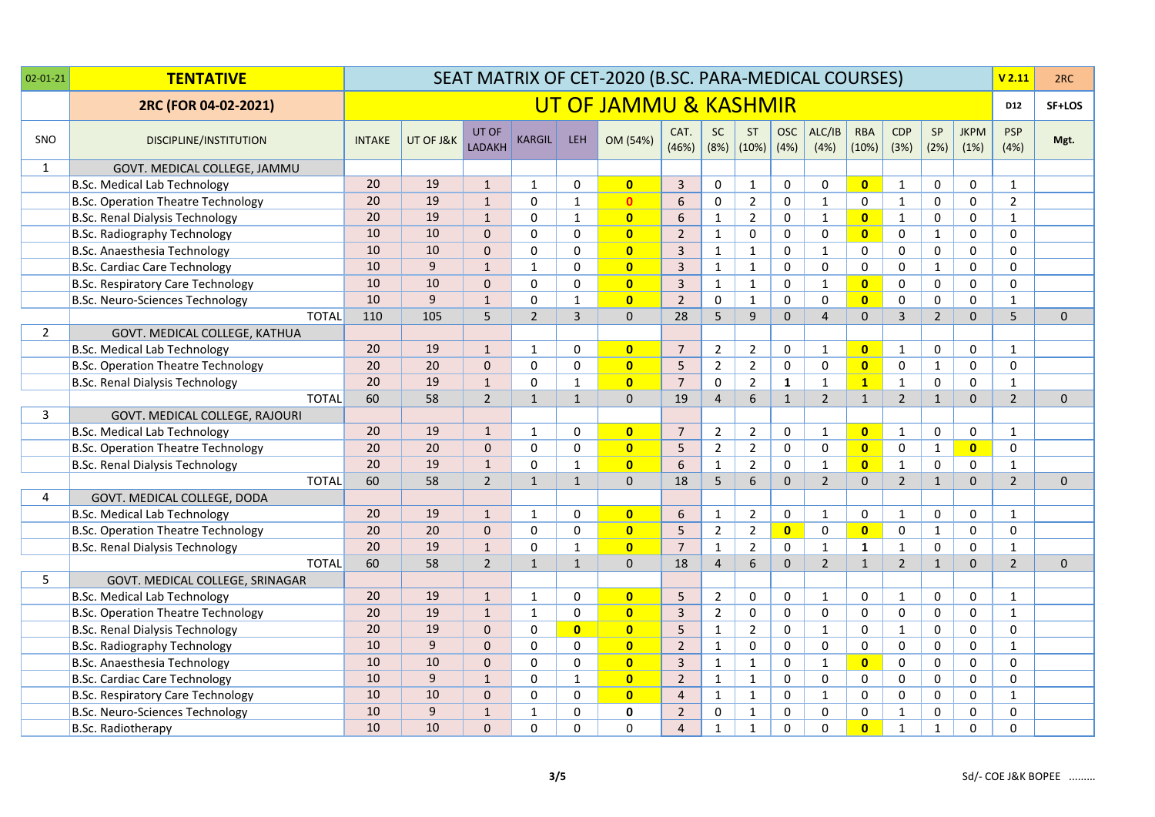| $02 - 01 - 21$ | <b>TENTATIVE</b>                          |               |           |                        |                |                         | SEAT MATRIX OF CET-2020 (B.SC. PARA-MEDICAL COURSES) |                |                |                             |                    |                |                     |                    |                |                     | V <sub>2.11</sub>  | 2RC          |
|----------------|-------------------------------------------|---------------|-----------|------------------------|----------------|-------------------------|------------------------------------------------------|----------------|----------------|-----------------------------|--------------------|----------------|---------------------|--------------------|----------------|---------------------|--------------------|--------------|
|                | 2RC (FOR 04-02-2021)                      |               |           |                        |                |                         | UT OF JAMMU & KASHMIR                                |                |                |                             |                    |                |                     |                    |                |                     | D12                | SF+LOS       |
| SNO            | DISCIPLINE/INSTITUTION                    | <b>INTAKE</b> | UT OF J&K | UT OF<br><b>LADAKH</b> | <b>KARGIL</b>  | <b>LEH</b>              | OM (54%)                                             | CAT.<br>(46%)  | <b>SC</b>      | <b>ST</b><br>$(8%)$ $(10%)$ | <b>OSC</b><br>(4%) | ALC/IB<br>(4%) | <b>RBA</b><br>(10%) | <b>CDP</b><br>(3%) | SP<br>(2%)     | <b>JKPM</b><br>(1%) | <b>PSP</b><br>(4%) | Mgt.         |
| 1              | GOVT. MEDICAL COLLEGE, JAMMU              |               |           |                        |                |                         |                                                      |                |                |                             |                    |                |                     |                    |                |                     |                    |              |
|                | <b>B.Sc. Medical Lab Technology</b>       | 20            | 19        | $\mathbf{1}$           | $\mathbf{1}$   | 0                       | $\mathbf{0}$                                         | $\overline{3}$ | 0              | $\mathbf{1}$                | 0                  | 0              | $\mathbf{0}$        | $\mathbf{1}$       | 0              | $\mathbf 0$         | $\mathbf{1}$       |              |
|                | <b>B.Sc. Operation Theatre Technology</b> | 20            | 19        | $\mathbf{1}$           | 0              | $\mathbf{1}$            | $\mathbf{0}$                                         | 6              | 0              | $\overline{2}$              | $\mathbf 0$        | $\mathbf{1}$   | $\mathbf 0$         | $\mathbf{1}$       | 0              | $\mathbf 0$         | $\overline{2}$     |              |
|                | <b>B.Sc. Renal Dialysis Technology</b>    | 20            | 19        | $\mathbf{1}$           | $\Omega$       | $\mathbf{1}$            | $\overline{0}$                                       | 6              | $\mathbf{1}$   | $\overline{2}$              | $\mathbf 0$        | $\mathbf{1}$   | $\overline{0}$      | $\mathbf{1}$       | $\mathbf 0$    | 0                   | $\mathbf{1}$       |              |
|                | <b>B.Sc. Radiography Technology</b>       | 10            | 10        | $\mathbf 0$            | 0              | 0                       | $\overline{0}$                                       | $\overline{2}$ | $\mathbf{1}$   | $\pmb{0}$                   | 0                  | 0              | $\mathbf{0}$        | $\mathsf 0$        | $\mathbf{1}$   | $\mathsf 0$         | 0                  |              |
|                | B.Sc. Anaesthesia Technology              | 10            | 10        | $\mathbf 0$            | $\mathbf 0$    | $\mathbf 0$             | $\bullet$                                            | $\overline{3}$ | $\mathbf{1}$   | $\mathbf{1}$                | $\mathbf 0$        | $\mathbf{1}$   | 0                   | $\mathbf 0$        | 0              | 0                   | 0                  |              |
|                | <b>B.Sc. Cardiac Care Technology</b>      | 10            | 9         | $\mathbf{1}$           | $\mathbf{1}$   | $\Omega$                | $\mathbf{0}$                                         | $\overline{3}$ | $\mathbf{1}$   | $\mathbf{1}$                | $\Omega$           | $\Omega$       | $\Omega$            | $\mathbf 0$        | $\mathbf{1}$   | 0                   | 0                  |              |
|                | <b>B.Sc. Respiratory Care Technology</b>  | 10            | 10        | 0                      | 0              | 0                       | $\mathbf{0}$                                         | $\overline{3}$ | $\mathbf{1}$   | $\mathbf{1}$                | 0                  | $\mathbf{1}$   | $\mathbf{0}$        | 0                  | $\mathbf 0$    | $\mathbf 0$         | 0                  |              |
|                | B.Sc. Neuro-Sciences Technology           | 10            | 9         | $\mathbf{1}$           | $\mathbf 0$    | $\mathbf{1}$            | $\overline{0}$                                       | $\overline{2}$ | $\mathbf 0$    | $\mathbf 1$                 | $\mathsf 0$        | 0              | $\mathbf{0}$        | $\mathsf 0$        | $\mathbf 0$    | 0                   | $\mathbf{1}$       |              |
|                | <b>TOTAL</b>                              | 110           | 105       | 5                      | $\overline{2}$ | 3                       | $\mathbf{0}$                                         | 28             | 5              | 9                           | $\mathbf 0$        | $\overline{4}$ | $\mathbf{0}$        | $\overline{3}$     | $\overline{2}$ | $\mathbf{0}$        | 5                  | $\mathbf{0}$ |
| $\overline{2}$ | GOVT. MEDICAL COLLEGE, KATHUA             |               |           |                        |                |                         |                                                      |                |                |                             |                    |                |                     |                    |                |                     |                    |              |
|                | <b>B.Sc. Medical Lab Technology</b>       | 20            | 19        | $\mathbf{1}$           | 1              | $\mathbf 0$             | $\bullet$                                            | 7              | $\overline{2}$ | $\overline{2}$              | 0                  | $\mathbf{1}$   | $\overline{0}$      | $\mathbf{1}$       | 0              | $\mathbf 0$         | 1                  |              |
|                | <b>B.Sc. Operation Theatre Technology</b> | 20            | 20        | $\mathbf 0$            | 0              | $\mathbf 0$             | $\mathbf{0}$                                         | 5              | $\overline{2}$ | $\overline{2}$              | $\mathbf 0$        | $\mathbf 0$    | $\mathbf{0}$        | $\mathbf 0$        | $\mathbf{1}$   | $\mathbf 0$         | 0                  |              |
|                | <b>B.Sc. Renal Dialysis Technology</b>    | 20            | 19        | $\mathbf{1}$           | $\Omega$       | $\mathbf{1}$            | $\mathbf{0}$                                         | $\overline{7}$ | 0              | $\overline{2}$              | $\mathbf{1}$       | $\mathbf{1}$   | $\mathbf{1}$        | $\mathbf{1}$       | 0              | 0                   | $\mathbf{1}$       |              |
|                | <b>TOTAL</b>                              | 60            | 58        | $\overline{2}$         | $\mathbf{1}$   | $\mathbf{1}$            | $\Omega$                                             | 19             | $\overline{4}$ | 6                           | $\mathbf{1}$       | $\overline{2}$ | $\mathbf{1}$        | $\overline{2}$     | $\mathbf{1}$   | $\Omega$            | $\overline{2}$     | $\Omega$     |
| 3              | GOVT. MEDICAL COLLEGE, RAJOURI            |               |           |                        |                |                         |                                                      |                |                |                             |                    |                |                     |                    |                |                     |                    |              |
|                | <b>B.Sc. Medical Lab Technology</b>       | 20            | 19        | $\mathbf{1}$           | $\mathbf{1}$   | $\mathbf 0$             | $\bullet$                                            | $\overline{7}$ | $\overline{2}$ | $\overline{2}$              | $\pmb{0}$          | $\mathbf{1}$   | $\mathbf{0}$        | $\mathbf{1}$       | 0              | 0                   | $\mathbf{1}$       |              |
|                | <b>B.Sc. Operation Theatre Technology</b> | 20            | 20        | $\mathbf{0}$           | $\Omega$       | 0                       | $\bullet$                                            | 5              | $\overline{2}$ | $2^{\circ}$                 | $\mathbf 0$        | 0              | $\mathbf{0}$        | $\mathbf 0$        | $\mathbf{1}$   | $\overline{0}$      | $\mathbf 0$        |              |
|                | <b>B.Sc. Renal Dialysis Technology</b>    | 20            | 19        | $\mathbf{1}$           | $\Omega$       | $\mathbf{1}$            | $\bullet$                                            | 6              | $\mathbf{1}$   | $\overline{2}$              | $\mathbf 0$        | $\mathbf{1}$   | $\mathbf{0}$        | $\mathbf{1}$       | $\mathbf 0$    | $\mathbf 0$         | $\mathbf{1}$       |              |
|                | <b>TOTAL</b>                              | 60            | 58        | $\overline{2}$         | $\mathbf{1}$   | $\mathbf{1}$            | $\mathbf 0$                                          | 18             | 5              | 6                           | $\mathbf 0$        | $2^{\circ}$    | $\mathbf{0}$        | $\overline{2}$     | $\mathbf{1}$   | $\mathbf{0}$        | $\overline{2}$     | $\mathbf{0}$ |
| 4              | GOVT. MEDICAL COLLEGE, DODA               |               |           |                        |                |                         |                                                      |                |                |                             |                    |                |                     |                    |                |                     |                    |              |
|                | <b>B.Sc. Medical Lab Technology</b>       | 20            | 19        | $\mathbf{1}$           | 1              | 0                       | $\mathbf{0}$                                         | 6              | $\mathbf{1}$   | $\overline{2}$              | 0                  | $\mathbf{1}$   | 0                   | $\mathbf{1}$       | 0              | 0                   | $\mathbf{1}$       |              |
|                | <b>B.Sc. Operation Theatre Technology</b> | 20            | 20        | $\mathbf 0$            | $\Omega$       | 0                       | $\overline{0}$                                       | 5              | $\overline{2}$ | $\overline{2}$              | $\overline{0}$     | $\mathbf 0$    | $\bullet$           | $\mathsf 0$        | $\mathbf 1$    | 0                   | 0                  |              |
|                | <b>B.Sc. Renal Dialysis Technology</b>    | 20            | 19        | $\mathbf{1}$           | 0              | $\mathbf{1}$            | $\bullet$                                            | $\overline{7}$ | $\mathbf{1}$   | $\overline{2}$              | 0                  | $\mathbf{1}$   | $\mathbf{1}$        | $\mathbf{1}$       | $\mathbf 0$    | 0                   | $\mathbf{1}$       |              |
|                | <b>TOTAL</b>                              | 60            | 58        | $\overline{2}$         | $\mathbf{1}$   | $\mathbf{1}$            | $\mathbf{0}$                                         | 18             | $\overline{4}$ | 6                           | $\Omega$           | $\overline{2}$ | $\mathbf{1}$        | $\overline{2}$     | $\mathbf{1}$   | $\mathbf{0}$        | $\overline{2}$     | $\mathbf{0}$ |
| 5              | GOVT. MEDICAL COLLEGE, SRINAGAR           |               |           |                        |                |                         |                                                      |                |                |                             |                    |                |                     |                    |                |                     |                    |              |
|                | <b>B.Sc. Medical Lab Technology</b>       | 20            | 19        | $\mathbf{1}$           | 1              | 0                       | $\mathbf{0}$                                         | 5              | $\overline{2}$ | 0                           | 0                  | $\mathbf{1}$   | 0                   | $\mathbf{1}$       | 0              | 0                   | $\mathbf{1}$       |              |
|                | <b>B.Sc. Operation Theatre Technology</b> | 20            | 19        | $\mathbf{1}$           | $\mathbf{1}$   | 0                       | $\overline{0}$                                       | $\overline{3}$ | $\overline{2}$ | $\mathbf 0$                 | $\mathbf 0$        | $\mathbf 0$    | $\mathbf 0$         | $\mathbf 0$        | $\mathbf 0$    | $\mathbf 0$         | $\mathbf{1}$       |              |
|                | <b>B.Sc. Renal Dialysis Technology</b>    | 20            | 19        | $\mathbf 0$            | $\Omega$       | $\overline{\mathbf{0}}$ | $\overline{0}$                                       | 5              | $\mathbf{1}$   | $\overline{2}$              | $\mathsf 0$        | $\mathbf{1}$   | $\mathbf 0$         | $\mathbf{1}$       | $\pmb{0}$      | 0                   | $\Omega$           |              |
|                | <b>B.Sc. Radiography Technology</b>       | 10            | 9         | $\mathbf 0$            | 0              | $\mathbf 0$             | $\bullet$                                            | $\overline{2}$ | $\mathbf{1}$   | 0                           | $\mathbf 0$        | 0              | $\mathbf 0$         | $\mathbf 0$        | 0              | $\mathsf{O}$        | $\mathbf{1}$       |              |
|                | B.Sc. Anaesthesia Technology              | 10            | 10        | $\mathbf 0$            | 0              | 0                       | $\bullet$                                            | $\overline{3}$ | $\mathbf{1}$   | $\mathbf{1}$                | $\mathbf 0$        | $\mathbf{1}$   | $\mathbf{0}$        | $\mathbf 0$        | $\mathbf 0$    | 0                   | 0                  |              |
|                | B.Sc. Cardiac Care Technology             | 10            | 9         | $\mathbf{1}$           | $\Omega$       | 1                       | $\mathbf{0}$                                         | $\overline{2}$ | $\mathbf{1}$   | $\mathbf{1}$                | $\Omega$           | $\Omega$       | $\Omega$            | $\mathbf 0$        | $\mathbf 0$    | $\mathbf 0$         | $\Omega$           |              |
|                | <b>B.Sc. Respiratory Care Technology</b>  | 10            | 10        | $\mathbf{0}$           | 0              | $\mathbf 0$             | $\mathbf{0}$                                         | $\overline{4}$ | $\mathbf{1}$   | $\mathbf{1}$                | 0                  | $\mathbf{1}$   | $\mathbf 0$         | $\mathbf 0$        | $\mathbf 0$    | 0                   | $\mathbf{1}$       |              |
|                | B.Sc. Neuro-Sciences Technology           | 10            | 9         | $\mathbf{1}$           | $\mathbf{1}$   | 0                       | $\pmb{0}$                                            | $\overline{2}$ | 0              | $\mathbf{1}$                | $\pmb{0}$          | 0              | $\mathbf 0$         | $\mathbf{1}$       | $\pmb{0}$      | $\mathsf 0$         | $\mathbf 0$        |              |
|                | <b>B.Sc. Radiotherapy</b>                 | 10            | 10        | $\Omega$               | $\Omega$       | 0                       | $\Omega$                                             | $\overline{4}$ | $\mathbf{1}$   | 1                           | $\Omega$           | $\Omega$       | $\overline{0}$      | $\mathbf{1}$       | $\mathbf{1}$   | $\mathbf 0$         | 0                  |              |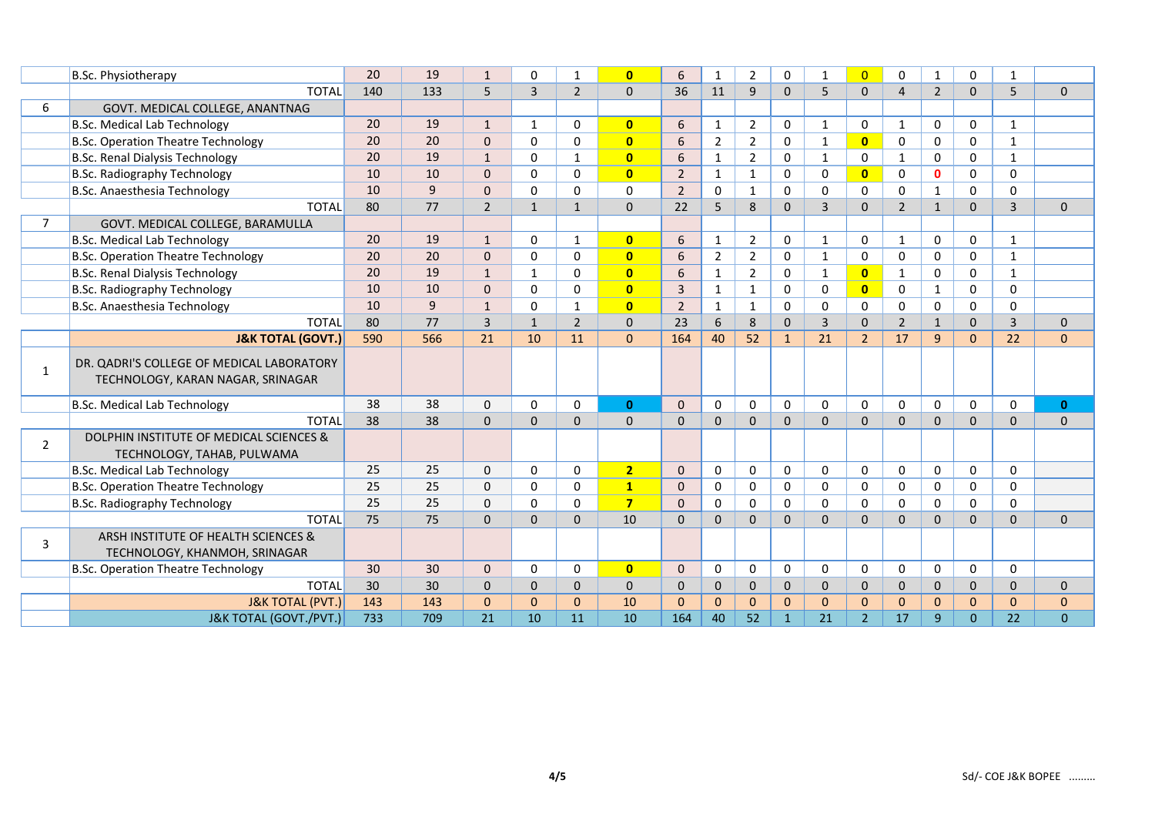|                | B.Sc. Physiotherapy                       | 20  | 19             | $\mathbf{1}$   | $\Omega$       | 1              | $\overline{0}$ | 6              | $\mathbf{1}$   | $\overline{2}$ | $\Omega$     | $\mathbf{1}$ | $\overline{0}$ | $\Omega$       | $\mathbf{1}$   | 0              | 1              |              |
|----------------|-------------------------------------------|-----|----------------|----------------|----------------|----------------|----------------|----------------|----------------|----------------|--------------|--------------|----------------|----------------|----------------|----------------|----------------|--------------|
|                | <b>TOTAL</b>                              | 140 | 133            | 5              | $\overline{3}$ | $\overline{2}$ | $\mathbf{0}$   | 36             | 11             | 9              | $\mathbf 0$  | 5            | $\Omega$       | $\overline{4}$ | $\overline{2}$ | $\mathbf{0}$   | 5              | $\mathbf 0$  |
| 6              | GOVT. MEDICAL COLLEGE, ANANTNAG           |     |                |                |                |                |                |                |                |                |              |              |                |                |                |                |                |              |
|                | <b>B.Sc. Medical Lab Technology</b>       | 20  | 19             | $\mathbf{1}$   | 1              | $\Omega$       | $\mathbf{0}$   | 6              | $\mathbf{1}$   | $\overline{2}$ | 0            | 1            | $\mathbf{0}$   | $\mathbf{1}$   | $\mathbf 0$    | 0              | $\mathbf{1}$   |              |
|                | <b>B.Sc. Operation Theatre Technology</b> | 20  | 20             | $\Omega$       | $\Omega$       | $\Omega$       | $\overline{0}$ | 6              | $\overline{2}$ | $\overline{2}$ | $\mathbf 0$  | 1            | $\mathbf{0}$   | $\mathbf 0$    | $\Omega$       | 0              | $\mathbf{1}$   |              |
|                | <b>B.Sc. Renal Dialysis Technology</b>    | 20  | 19             | $\mathbf{1}$   | 0              | $\mathbf{1}$   | $\mathbf{0}$   | 6              | $\mathbf{1}$   | $\overline{2}$ | $\mathbf 0$  | $\mathbf{1}$ | 0              | $\mathbf{1}$   | $\mathbf 0$    | 0              | $\mathbf{1}$   |              |
|                | <b>B.Sc. Radiography Technology</b>       | 10  | 10             | $\mathbf{0}$   | $\Omega$       | $\Omega$       | $\mathbf{0}$   | $\overline{2}$ | $\mathbf{1}$   | $\mathbf{1}$   | $\Omega$     | 0            | $\mathbf{0}$   | $\mathbf{0}$   | $\mathbf{0}$   | 0              | $\Omega$       |              |
|                | B.Sc. Anaesthesia Technology              | 10  | $\overline{9}$ | $\Omega$       | $\Omega$       | $\Omega$       | $\Omega$       | $\overline{2}$ | $\Omega$       | 1              | $\Omega$     | 0            | $\mathbf{0}$   | $\mathbf{0}$   | 1              | $\Omega$       | $\Omega$       |              |
|                | <b>TOTAL</b>                              | 80  | 77             | $\overline{2}$ | $\mathbf{1}$   | $\mathbf{1}$   | $\mathbf{0}$   | 22             | 5              | 8              | $\mathbf{0}$ | 3            | $\Omega$       | $\overline{2}$ | $\mathbf{1}$   | $\Omega$       | $\overline{3}$ | $\mathbf{0}$ |
| $\overline{7}$ | GOVT. MEDICAL COLLEGE, BARAMULLA          |     |                |                |                |                |                |                |                |                |              |              |                |                |                |                |                |              |
|                | <b>B.Sc. Medical Lab Technology</b>       | 20  | 19             | $\mathbf{1}$   | $\Omega$       | 1              | $\mathbf{0}$   | 6              | $\mathbf{1}$   | $\overline{2}$ | 0            | 1            | $\mathbf{0}$   | $\mathbf{1}$   | 0              | 0              | $\mathbf{1}$   |              |
|                | <b>B.Sc. Operation Theatre Technology</b> | 20  | 20             | $\mathbf{0}$   | $\Omega$       | $\Omega$       | $\mathbf{0}$   | 6              | $\overline{2}$ | $\overline{2}$ | 0            | 1            | $\mathbf{0}$   | $\mathbf{0}$   | $\mathbf 0$    | 0              | $\mathbf{1}$   |              |
|                | <b>B.Sc. Renal Dialysis Technology</b>    | 20  | 19             | $\mathbf{1}$   | 1              | 0              | $\mathbf{0}$   | 6              | $\mathbf{1}$   | $\overline{2}$ | $\mathbf 0$  | 1            | $\mathbf{0}$   | $\mathbf{1}$   | 0              | 0              | 1              |              |
|                | <b>B.Sc. Radiography Technology</b>       | 10  | 10             | $\mathbf{0}$   | 0              | $\Omega$       | $\mathbf{0}$   | 3              | $\mathbf{1}$   | $\mathbf{1}$   | $\mathbf 0$  | 0            | $\mathbf{0}$   | 0              | 1              | 0              | $\Omega$       |              |
|                | B.Sc. Anaesthesia Technology              | 10  | 9              | $\mathbf{1}$   | $\Omega$       | 1              | $\mathbf{0}$   | $\overline{2}$ | $\mathbf{1}$   | $\mathbf{1}$   | $\mathbf 0$  | 0            | 0              | $\mathbf 0$    | 0              | 0              | $\Omega$       |              |
|                | <b>TOTAL</b>                              | 80  | 77             | $\overline{3}$ | $\mathbf{1}$   | $\overline{2}$ | $\mathbf{0}$   | 23             | 6              | 8              | $\Omega$     | 3            | $\Omega$       | $\overline{2}$ | $\mathbf{1}$   | $\mathbf{0}$   | $\overline{3}$ | $\mathbf{0}$ |
|                | <b>J&amp;K TOTAL (GOVT.)</b>              | 590 | 566            | 21             | 10             | 11             | $\mathbf{0}$   | 164            | 40             | 52             | $\mathbf{1}$ | 21           | $\overline{2}$ | 17             | $\overline{9}$ | $\overline{0}$ | 22             | $\mathbf{0}$ |
|                | DR. QADRI'S COLLEGE OF MEDICAL LABORATORY |     |                |                |                |                |                |                |                |                |              |              |                |                |                |                |                |              |
| 1              | TECHNOLOGY, KARAN NAGAR, SRINAGAR         |     |                |                |                |                |                |                |                |                |              |              |                |                |                |                |                |              |
|                | <b>B.Sc. Medical Lab Technology</b>       | 38  | 38             | $\mathbf 0$    | $\Omega$       | 0              | $\mathbf{0}$   | $\Omega$       | $\mathbf 0$    | 0              | $\mathbf 0$  | $\Omega$     | $\Omega$       | 0              | $\mathbf 0$    | 0              | $\Omega$       | $\mathbf{0}$ |
|                | <b>TOTAL</b>                              | 38  | 38             | $\mathbf{0}$   | $\Omega$       | $\mathbf 0$    | $\mathbf 0$    | $\mathbf 0$    | $\mathbf{0}$   | $\mathbf{0}$   | $\mathbf{0}$ | $\mathbf{0}$ | $\Omega$       | $\mathbf{0}$   | $\mathbf 0$    | $\overline{0}$ | $\mathbf{0}$   | $\mathbf 0$  |
| $\overline{2}$ | DOLPHIN INSTITUTE OF MEDICAL SCIENCES &   |     |                |                |                |                |                |                |                |                |              |              |                |                |                |                |                |              |
|                | TECHNOLOGY, TAHAB, PULWAMA                |     |                |                |                |                |                |                |                |                |              |              |                |                |                |                |                |              |
|                | <b>B.Sc. Medical Lab Technology</b>       | 25  | 25             | $\mathbf 0$    | 0              | 0              | 2 <sub>1</sub> | $\mathbf 0$    | $\mathbf 0$    | 0              | $\mathbf 0$  | 0            | 0              | $\mathbf 0$    | $\mathbf 0$    | 0              | $\mathbf 0$    |              |
|                | <b>B.Sc. Operation Theatre Technology</b> | 25  | 25             | $\mathbf 0$    | $\mathbf 0$    | $\mathbf 0$    | $\mathbf{1}$   | $\mathbf 0$    | $\mathbf 0$    | 0              | $\mathbf 0$  | 0            | $\mathbf 0$    | $\mathbf 0$    | $\mathbf 0$    | 0              | $\mathbf 0$    |              |
|                | <b>B.Sc. Radiography Technology</b>       | 25  | 25             | $\mathbf 0$    | $\Omega$       | $\mathbf 0$    | $\overline{7}$ | $\Omega$       | $\mathbf 0$    | 0              | 0            | 0            | $\mathbf 0$    | $\mathsf 0$    | $\mathbf 0$    | 0              | 0              |              |
|                | <b>TOTAL</b>                              | 75  | 75             | $\Omega$       | $\Omega$       | $\Omega$       | 10             | $\Omega$       | $\Omega$       | $\Omega$       | $\Omega$     | $\Omega$     | $\Omega$       | $\Omega$       | $\Omega$       | $\Omega$       | $\Omega$       | $\Omega$     |
| 3              | ARSH INSTITUTE OF HEALTH SCIENCES &       |     |                |                |                |                |                |                |                |                |              |              |                |                |                |                |                |              |
|                | TECHNOLOGY, KHANMOH, SRINAGAR             |     |                |                |                |                |                |                |                |                |              |              |                |                |                |                |                |              |
|                | <b>B.Sc. Operation Theatre Technology</b> | 30  | 30             | $\Omega$       | $\Omega$       | $\Omega$       | $\overline{0}$ | $\Omega$       | $\mathbf 0$    | $\Omega$       | $\mathbf 0$  | $\Omega$     | $\mathbf{0}$   | $\Omega$       | $\mathbf 0$    | $\Omega$       | $\Omega$       |              |
|                | <b>TOTAL</b>                              | 30  | 30             | $\Omega$       | $\Omega$       | $\Omega$       | $\mathbf{0}$   | $\Omega$       | $\Omega$       | $\Omega$       | $\Omega$     | $\Omega$     | $\Omega$       | $\Omega$       | $\Omega$       | $\Omega$       | $\Omega$       | $\mathbf{0}$ |
|                | <b>J&amp;K TOTAL (PVT.)</b>               | 143 | 143            | $\mathbf{0}$   | $\Omega$       | $\Omega$       | 10             | $\Omega$       | $\mathbf{0}$   | $\Omega$       | $\Omega$     | $\Omega$     | $\Omega$       | $\Omega$       | $\mathbf{0}$   | $\Omega$       | $\Omega$       | $\mathbf{0}$ |
|                | J&K TOTAL (GOVT./PVT.)                    | 733 | 709            | 21             | 10             | 11             | 10             | 164            | 40             | 52             | $\mathbf{1}$ | 21           | $\overline{2}$ | 17             | 9              | $\Omega$       | 22             | $\Omega$     |